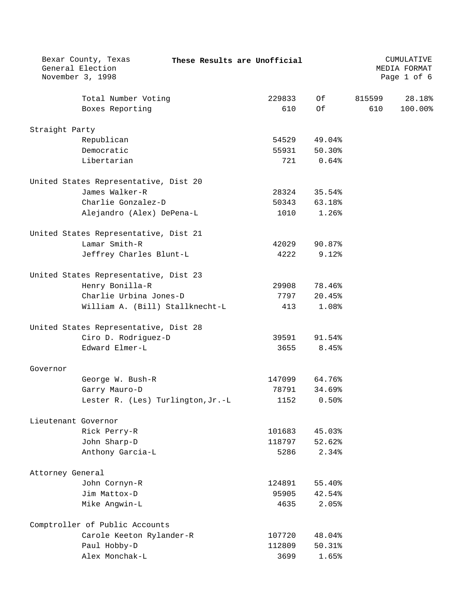|                     | Bexar County, Texas<br>General Election<br>November 3, 1998 |  | These Results are Unofficial |                 |        | CUMULATIVE<br>MEDIA FORMAT<br>Page 1 of 6 |
|---------------------|-------------------------------------------------------------|--|------------------------------|-----------------|--------|-------------------------------------------|
|                     |                                                             |  |                              |                 |        |                                           |
|                     | Total Number Voting                                         |  | 229833<br>610                | Of<br>Of        | 815599 | 28.18%                                    |
|                     | Boxes Reporting                                             |  |                              |                 | 610    | 100.00%                                   |
| Straight Party      |                                                             |  |                              |                 |        |                                           |
|                     | Republican                                                  |  | 54529                        | 49.04%          |        |                                           |
|                     | Democratic                                                  |  | 55931                        | 50.30%          |        |                                           |
|                     | Libertarian                                                 |  | 721                          | 0.64%           |        |                                           |
|                     | United States Representative, Dist 20                       |  |                              |                 |        |                                           |
|                     | James Walker-R                                              |  | 28324                        | 35.54%          |        |                                           |
|                     | Charlie Gonzalez-D                                          |  | 50343                        | 63.18%          |        |                                           |
|                     | Alejandro (Alex) DePena-L                                   |  | 1010                         | $1.26$ $%$      |        |                                           |
|                     | United States Representative, Dist 21                       |  |                              |                 |        |                                           |
|                     | Lamar Smith-R                                               |  | 42029                        | 90.87%          |        |                                           |
|                     | Jeffrey Charles Blunt-L                                     |  | 4222                         | $9.12$ $%$      |        |                                           |
|                     |                                                             |  |                              |                 |        |                                           |
|                     | United States Representative, Dist 23                       |  |                              |                 |        |                                           |
|                     | Henry Bonilla-R                                             |  | 29908                        | 78.46%          |        |                                           |
|                     | Charlie Urbina Jones-D                                      |  | 7797                         | 20.45%          |        |                                           |
|                     | William A. (Bill) Stallknecht-L                             |  | 413                          | 1.08%           |        |                                           |
|                     | United States Representative, Dist 28                       |  |                              |                 |        |                                           |
|                     | Ciro D. Rodriguez-D                                         |  | 39591                        | 91.54%          |        |                                           |
|                     | Edward Elmer-L                                              |  | 3655                         | 8.45%           |        |                                           |
| Governor            |                                                             |  |                              |                 |        |                                           |
|                     | George W. Bush-R                                            |  | 147099                       | 64.76%          |        |                                           |
|                     | Garry Mauro-D                                               |  | 78791                        | 34.69%          |        |                                           |
|                     | Lester R. (Les) Turlington, Jr.-L                           |  | 1152                         | 0.50%           |        |                                           |
| Lieutenant Governor |                                                             |  |                              |                 |        |                                           |
|                     | Rick Perry-R                                                |  | 101683                       | 45.03%          |        |                                           |
|                     | John Sharp-D                                                |  | 118797                       | 52.62%          |        |                                           |
|                     | Anthony Garcia-L                                            |  | 5286                         | 2.34%           |        |                                           |
|                     |                                                             |  |                              |                 |        |                                           |
| Attorney General    | John Cornyn-R                                               |  | 124891                       | 55.40%          |        |                                           |
|                     |                                                             |  |                              |                 |        |                                           |
|                     | Jim Mattox-D                                                |  | 95905<br>4635                | 42.54%<br>2.05% |        |                                           |
|                     | Mike Angwin-L                                               |  |                              |                 |        |                                           |
|                     | Comptroller of Public Accounts                              |  |                              |                 |        |                                           |
|                     | Carole Keeton Rylander-R                                    |  | 107720                       | 48.04%          |        |                                           |
|                     | Paul Hobby-D                                                |  | 112809                       | 50.31%          |        |                                           |
|                     | Alex Monchak-L                                              |  | 3699                         | 1.65%           |        |                                           |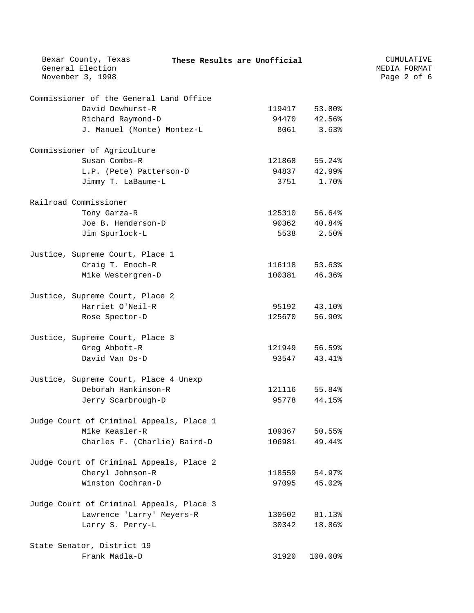| Bexar County, Texas<br>These Results are Unofficial<br>General Election<br>November 3, 1998 |        |              | CUMULATIVE<br>MEDIA FORMAT<br>Page 2 of 6 |
|---------------------------------------------------------------------------------------------|--------|--------------|-------------------------------------------|
| Commissioner of the General Land Office                                                     |        |              |                                           |
| David Dewhurst-R                                                                            | 119417 | 53.80%       |                                           |
| Richard Raymond-D                                                                           |        | 94470 42.56% |                                           |
| J. Manuel (Monte) Montez-L                                                                  | 8061   | 3.63%        |                                           |
| Commissioner of Agriculture                                                                 |        |              |                                           |
| Susan Combs-R                                                                               | 121868 | 55.24%       |                                           |
| L.P. (Pete) Patterson-D                                                                     | 94837  | 42.99%       |                                           |
| Jimmy T. LaBaume-L                                                                          | 3751   | 1.70%        |                                           |
| Railroad Commissioner                                                                       |        |              |                                           |
| Tony Garza-R                                                                                | 125310 | 56.64%       |                                           |
| Joe B. Henderson-D                                                                          |        | 90362 40.84% |                                           |
| Jim Spurlock-L                                                                              | 5538   | 2.50%        |                                           |
| Justice, Supreme Court, Place 1                                                             |        |              |                                           |
| Craig T. Enoch-R                                                                            | 116118 | 53.63%       |                                           |
| Mike Westergren-D                                                                           | 100381 | 46.36%       |                                           |
| Justice, Supreme Court, Place 2                                                             |        |              |                                           |
| Harriet O'Neil-R                                                                            | 95192  | 43.10%       |                                           |
| Rose Spector-D                                                                              | 125670 | 56.90%       |                                           |
| Justice, Supreme Court, Place 3                                                             |        |              |                                           |
| Greg Abbott-R                                                                               | 121949 | 56.59%       |                                           |
| David Van Os-D                                                                              | 93547  | 43.41%       |                                           |
| Justice, Supreme Court, Place 4 Unexp                                                       |        |              |                                           |
| Deborah Hankinson-R                                                                         | 121116 | 55.84%       |                                           |
| Jerry Scarbrough-D                                                                          | 95778  | 44.15%       |                                           |
| Judge Court of Criminal Appeals, Place 1                                                    |        |              |                                           |
| Mike Keasler-R                                                                              | 109367 | 50.55%       |                                           |
| Charles F. (Charlie) Baird-D                                                                | 106981 | 49.44%       |                                           |
| Judge Court of Criminal Appeals, Place 2                                                    |        |              |                                           |
| Cheryl Johnson-R                                                                            | 118559 | 54.97%       |                                           |
| Winston Cochran-D                                                                           | 97095  | 45.02%       |                                           |
| Judge Court of Criminal Appeals, Place 3                                                    |        |              |                                           |
| Lawrence 'Larry' Meyers-R                                                                   | 130502 | 81.13%       |                                           |
| Larry S. Perry-L                                                                            | 30342  | 18.86%       |                                           |
| State Senator, District 19                                                                  |        |              |                                           |
| Frank Madla-D                                                                               | 31920  | 100.00%      |                                           |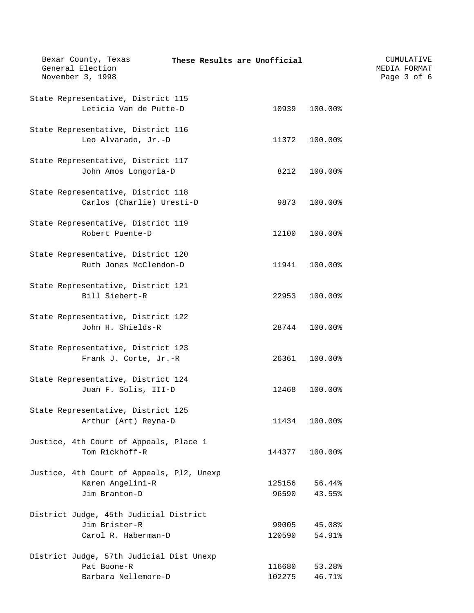| Bexar County, Texas<br>General Election<br>November 3, 1998 | These Results are Unofficial |                  | CUMULATIVE<br>MEDIA FORMAT<br>Page 3 of 6 |
|-------------------------------------------------------------|------------------------------|------------------|-------------------------------------------|
| State Representative, District 115                          |                              |                  |                                           |
| Leticia Van de Putte-D                                      | 10939                        | 100.00%          |                                           |
| State Representative, District 116                          |                              |                  |                                           |
| Leo Alvarado, Jr.-D                                         | 11372                        | 100.00%          |                                           |
| State Representative, District 117                          |                              |                  |                                           |
| John Amos Longoria-D                                        | 8212                         | 100.00%          |                                           |
| State Representative, District 118                          |                              |                  |                                           |
| Carlos (Charlie) Uresti-D                                   | 9873                         | 100.00%          |                                           |
| State Representative, District 119                          |                              |                  |                                           |
| Robert Puente-D                                             | 12100                        | 100.00%          |                                           |
| State Representative, District 120                          |                              |                  |                                           |
| Ruth Jones McClendon-D                                      | 11941                        | 100.00%          |                                           |
| State Representative, District 121                          |                              |                  |                                           |
| Bill Siebert-R                                              | 22953                        | 100.00%          |                                           |
| State Representative, District 122                          |                              |                  |                                           |
| John H. Shields-R                                           | 28744                        | 100.00%          |                                           |
| State Representative, District 123                          |                              |                  |                                           |
| Frank J. Corte, Jr.-R                                       | 26361                        | 100.00%          |                                           |
| State Representative, District 124                          |                              |                  |                                           |
| Juan F. Solis, III-D                                        | 12468                        | 100.00%          |                                           |
| State Representative, District 125                          |                              |                  |                                           |
| Arthur (Art) Reyna-D                                        | 11434                        | 100.00%          |                                           |
| Justice, 4th Court of Appeals, Place 1<br>Tom Rickhoff-R    | 144377                       | 100.00%          |                                           |
|                                                             |                              |                  |                                           |
| Justice, 4th Court of Appeals, Pl2, Unexp                   |                              |                  |                                           |
| Karen Angelini-R<br>Jim Branton-D                           | 125156<br>96590              | 56.44%<br>43.55% |                                           |
|                                                             |                              |                  |                                           |
| District Judge, 45th Judicial District<br>Jim Brister-R     | 99005                        | 45.08%           |                                           |
| Carol R. Haberman-D                                         | 120590                       | 54.91%           |                                           |
| District Judge, 57th Judicial Dist Unexp                    |                              |                  |                                           |
| Pat Boone-R                                                 | 116680                       | 53.28%           |                                           |
| Barbara Nellemore-D                                         | 102275                       | 46.71%           |                                           |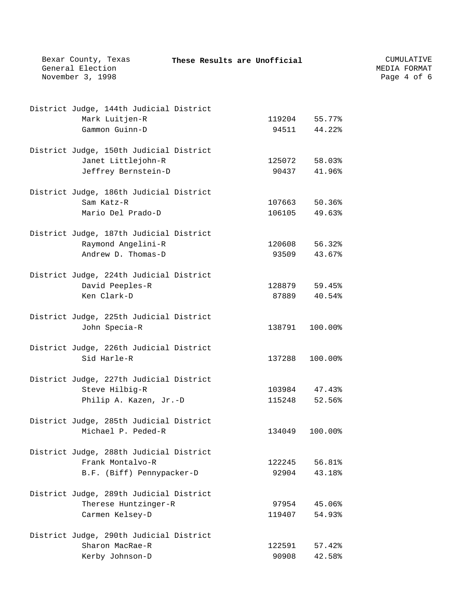| Bexar County, Texas<br>General Election<br>November 3, 1998   | These Results are Unofficial |         | CUMULATIVE<br>MEDIA FORMAT<br>Page 4 of 6 |
|---------------------------------------------------------------|------------------------------|---------|-------------------------------------------|
|                                                               |                              |         |                                           |
| District Judge, 144th Judicial District                       |                              |         |                                           |
| Mark Luitjen-R                                                | 119204                       | 55.77%  |                                           |
| Gammon Guinn-D                                                | 94511                        | 44.22%  |                                           |
|                                                               |                              |         |                                           |
| District Judge, 150th Judicial District<br>Janet Littlejohn-R | 125072                       | 58.03%  |                                           |
| Jeffrey Bernstein-D                                           | 90437                        | 41.96%  |                                           |
|                                                               |                              |         |                                           |
| District Judge, 186th Judicial District                       |                              |         |                                           |
| Sam Katz-R                                                    | 107663                       | 50.36%  |                                           |
| Mario Del Prado-D                                             | 106105                       | 49.63%  |                                           |
| District Judge, 187th Judicial District                       |                              |         |                                           |
| Raymond Angelini-R                                            | 120608                       | 56.32%  |                                           |
| Andrew D. Thomas-D                                            | 93509                        | 43.67%  |                                           |
|                                                               |                              |         |                                           |
| District Judge, 224th Judicial District                       |                              |         |                                           |
| David Peeples-R                                               | 128879                       | 59.45%  |                                           |
| Ken Clark-D                                                   | 87889                        | 40.54%  |                                           |
| District Judge, 225th Judicial District                       |                              |         |                                           |
| John Specia-R                                                 | 138791                       | 100.00% |                                           |
| District Judge, 226th Judicial District                       |                              |         |                                           |
| Sid Harle-R                                                   | 137288                       | 100.00% |                                           |
|                                                               |                              |         |                                           |
| District Judge, 227th Judicial District                       |                              |         |                                           |
| Steve Hilbig-R                                                | 103984                       | 47.43%  |                                           |
| Philip A. Kazen, Jr.-D                                        | 115248                       | 52.56%  |                                           |
| District Judge, 285th Judicial District                       |                              |         |                                           |
| Michael P. Peded-R                                            | 134049                       | 100.00% |                                           |
|                                                               |                              |         |                                           |
| District Judge, 288th Judicial District                       |                              |         |                                           |
| Frank Montalvo-R                                              | 122245                       | 56.81%  |                                           |
| B.F. (Biff) Pennypacker-D                                     | 92904                        | 43.18%  |                                           |
| District Judge, 289th Judicial District                       |                              |         |                                           |
| Therese Huntzinger-R                                          | 97954                        | 45.06%  |                                           |
| Carmen Kelsey-D                                               | 119407                       | 54.93%  |                                           |
| District Judge, 290th Judicial District                       |                              |         |                                           |
| Sharon MacRae-R                                               | 122591                       | 57.42%  |                                           |
| Kerby Johnson-D                                               | 90908                        | 42.58%  |                                           |
|                                                               |                              |         |                                           |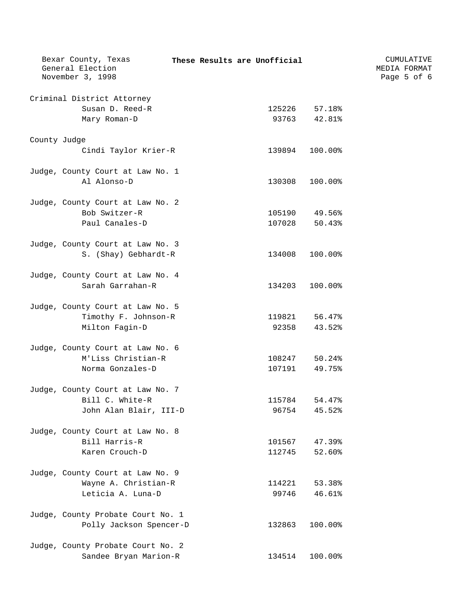|              | Bexar County, Texas<br>General Election         |  | These Results are Unofficial |               | CUMULATIVE<br>MEDIA FORMAT |  |  |
|--------------|-------------------------------------------------|--|------------------------------|---------------|----------------------------|--|--|
|              | November 3, 1998                                |  |                              |               | Page 5 of 6                |  |  |
|              | Criminal District Attorney                      |  |                              |               |                            |  |  |
|              | Susan D. Reed-R                                 |  |                              | 125226 57.18% |                            |  |  |
|              | Mary Roman-D                                    |  |                              | 93763 42.81%  |                            |  |  |
| County Judge |                                                 |  |                              |               |                            |  |  |
|              | Cindi Taylor Krier-R                            |  | 139894                       | 100.00%       |                            |  |  |
|              |                                                 |  |                              |               |                            |  |  |
|              | Judge, County Court at Law No. 1<br>Al Alonso-D |  |                              | 100.00%       |                            |  |  |
|              |                                                 |  | 130308                       |               |                            |  |  |
|              | Judge, County Court at Law No. 2                |  |                              |               |                            |  |  |
|              | Bob Switzer-R                                   |  | 105190                       | 49.56%        |                            |  |  |
|              | Paul Canales-D                                  |  | 107028                       | 50.43%        |                            |  |  |
|              | Judge, County Court at Law No. 3                |  |                              |               |                            |  |  |
|              | S. (Shay) Gebhardt-R                            |  | 134008                       | 100.00%       |                            |  |  |
|              | Judge, County Court at Law No. 4                |  |                              |               |                            |  |  |
|              | Sarah Garrahan-R                                |  | 134203                       | 100.00%       |                            |  |  |
|              | Judge, County Court at Law No. 5                |  |                              |               |                            |  |  |
|              | Timothy F. Johnson-R                            |  |                              | 119821 56.47% |                            |  |  |
|              | Milton Fagin-D                                  |  |                              | 92358 43.52%  |                            |  |  |
|              |                                                 |  |                              |               |                            |  |  |
|              | Judge, County Court at Law No. 6                |  |                              |               |                            |  |  |
|              | M'Liss Christian-R                              |  |                              | 108247 50.24% |                            |  |  |
|              | Norma Gonzales-D                                |  | 107191                       | 49.75%        |                            |  |  |
|              | Judge, County Court at Law No. 7                |  |                              |               |                            |  |  |
|              | Bill C. White-R                                 |  | 115784                       | 54.47%        |                            |  |  |
|              | John Alan Blair, III-D                          |  | 96754                        | 45.52%        |                            |  |  |
|              | Judge, County Court at Law No. 8                |  |                              |               |                            |  |  |
|              | Bill Harris-R                                   |  | 101567                       | 47.39%        |                            |  |  |
|              | Karen Crouch-D                                  |  | 112745                       | 52.60%        |                            |  |  |
|              | Judge, County Court at Law No. 9                |  |                              |               |                            |  |  |
|              | Wayne A. Christian-R                            |  | 114221                       | 53.38%        |                            |  |  |
|              | Leticia A. Luna-D                               |  | 99746                        | 46.61%        |                            |  |  |
|              |                                                 |  |                              |               |                            |  |  |
|              | Judge, County Probate Court No. 1               |  |                              |               |                            |  |  |
|              | Polly Jackson Spencer-D                         |  | 132863                       | 100.00%       |                            |  |  |
|              | Judge, County Probate Court No. 2               |  |                              |               |                            |  |  |
|              | Sandee Bryan Marion-R                           |  | 134514                       | 100.00%       |                            |  |  |